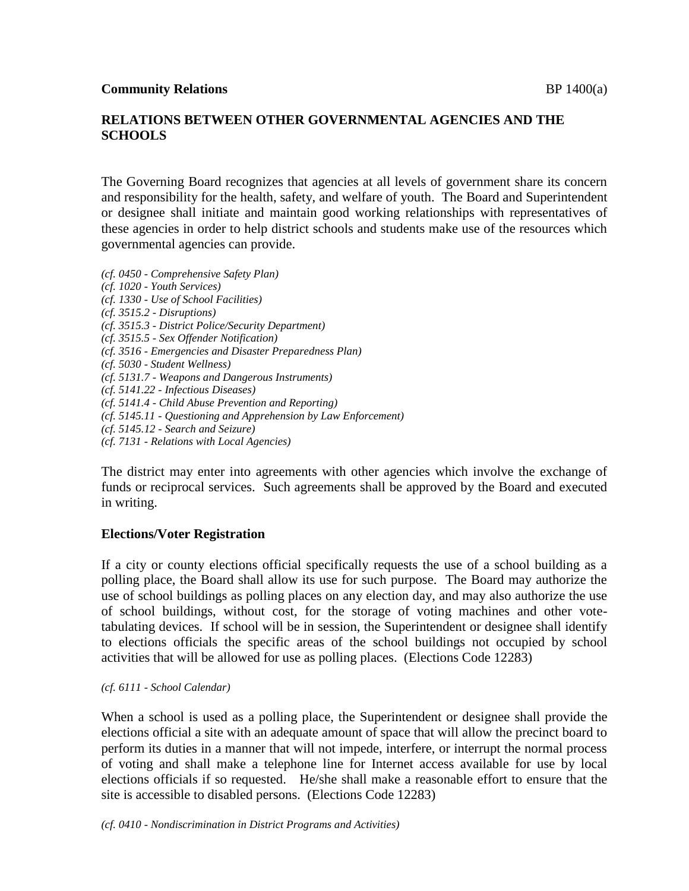# **RELATIONS BETWEEN OTHER GOVERNMENTAL AGENCIES AND THE SCHOOLS**

The Governing Board recognizes that agencies at all levels of government share its concern and responsibility for the health, safety, and welfare of youth. The Board and Superintendent or designee shall initiate and maintain good working relationships with representatives of these agencies in order to help district schools and students make use of the resources which governmental agencies can provide.

*(cf. 0450 - Comprehensive Safety Plan) (cf. 1020 - Youth Services) (cf. 1330 - Use of School Facilities) (cf. 3515.2 - Disruptions) (cf. 3515.3 - District Police/Security Department) (cf. 3515.5 - Sex Offender Notification) (cf. 3516 - Emergencies and Disaster Preparedness Plan) (cf. 5030 - Student Wellness) (cf. 5131.7 - Weapons and Dangerous Instruments) (cf. 5141.22 - Infectious Diseases) (cf. 5141.4 - Child Abuse Prevention and Reporting) (cf. 5145.11 - Questioning and Apprehension by Law Enforcement) (cf. 5145.12 - Search and Seizure) (cf. 7131 - Relations with Local Agencies)*

The district may enter into agreements with other agencies which involve the exchange of funds or reciprocal services. Such agreements shall be approved by the Board and executed in writing.

# **Elections/Voter Registration**

If a city or county elections official specifically requests the use of a school building as a polling place, the Board shall allow its use for such purpose. The Board may authorize the use of school buildings as polling places on any election day, and may also authorize the use of school buildings, without cost, for the storage of voting machines and other votetabulating devices. If school will be in session, the Superintendent or designee shall identify to elections officials the specific areas of the school buildings not occupied by school activities that will be allowed for use as polling places. (Elections Code 12283)

### *(cf. 6111 - School Calendar)*

When a school is used as a polling place, the Superintendent or designee shall provide the elections official a site with an adequate amount of space that will allow the precinct board to perform its duties in a manner that will not impede, interfere, or interrupt the normal process of voting and shall make a telephone line for Internet access available for use by local elections officials if so requested. He/she shall make a reasonable effort to ensure that the site is accessible to disabled persons. (Elections Code 12283)